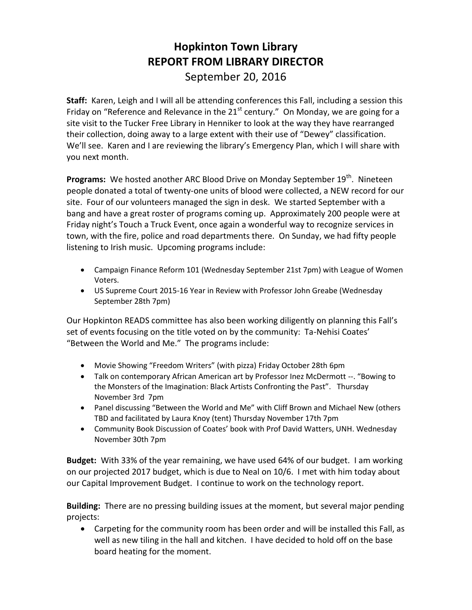## **Hopkinton Town Library REPORT FROM LIBRARY DIRECTOR** September 20, 2016

**Staff:** Karen, Leigh and I will all be attending conferences this Fall, including a session this Friday on "Reference and Relevance in the  $21<sup>st</sup>$  century." On Monday, we are going for a site visit to the Tucker Free Library in Henniker to look at the way they have rearranged their collection, doing away to a large extent with their use of "Dewey" classification. We'll see. Karen and I are reviewing the library's Emergency Plan, which I will share with you next month.

Programs: We hosted another ARC Blood Drive on Monday September 19<sup>th</sup>. Nineteen people donated a total of twenty-one units of blood were collected, a NEW record for our site. Four of our volunteers managed the sign in desk. We started September with a bang and have a great roster of programs coming up. Approximately 200 people were at Friday night's Touch a Truck Event, once again a wonderful way to recognize services in town, with the fire, police and road departments there. On Sunday, we had fifty people listening to Irish music. Upcoming programs include:

- Campaign Finance Reform 101 (Wednesday September 21st 7pm) with League of Women Voters.
- US Supreme Court 2015-16 Year in Review with Professor John Greabe (Wednesday September 28th 7pm)

Our Hopkinton READS committee has also been working diligently on planning this Fall's set of events focusing on the title voted on by the community: Ta-Nehisi Coates' "Between the World and Me." The programs include:

- Movie Showing "Freedom Writers" (with pizza) Friday October 28th 6pm
- Talk on contemporary African American art by Professor Inez McDermott --. "Bowing to the Monsters of the Imagination: Black Artists Confronting the Past". Thursday November 3rd 7pm
- Panel discussing "Between the World and Me" with Cliff Brown and Michael New (others TBD and facilitated by Laura Knoy (tent) Thursday November 17th 7pm
- Community Book Discussion of Coates' book with Prof David Watters, UNH. Wednesday November 30th 7pm

**Budget:** With 33% of the year remaining, we have used 64% of our budget. I am working on our projected 2017 budget, which is due to Neal on 10/6. I met with him today about our Capital Improvement Budget. I continue to work on the technology report.

**Building:** There are no pressing building issues at the moment, but several major pending projects:

 Carpeting for the community room has been order and will be installed this Fall, as well as new tiling in the hall and kitchen. I have decided to hold off on the base board heating for the moment.